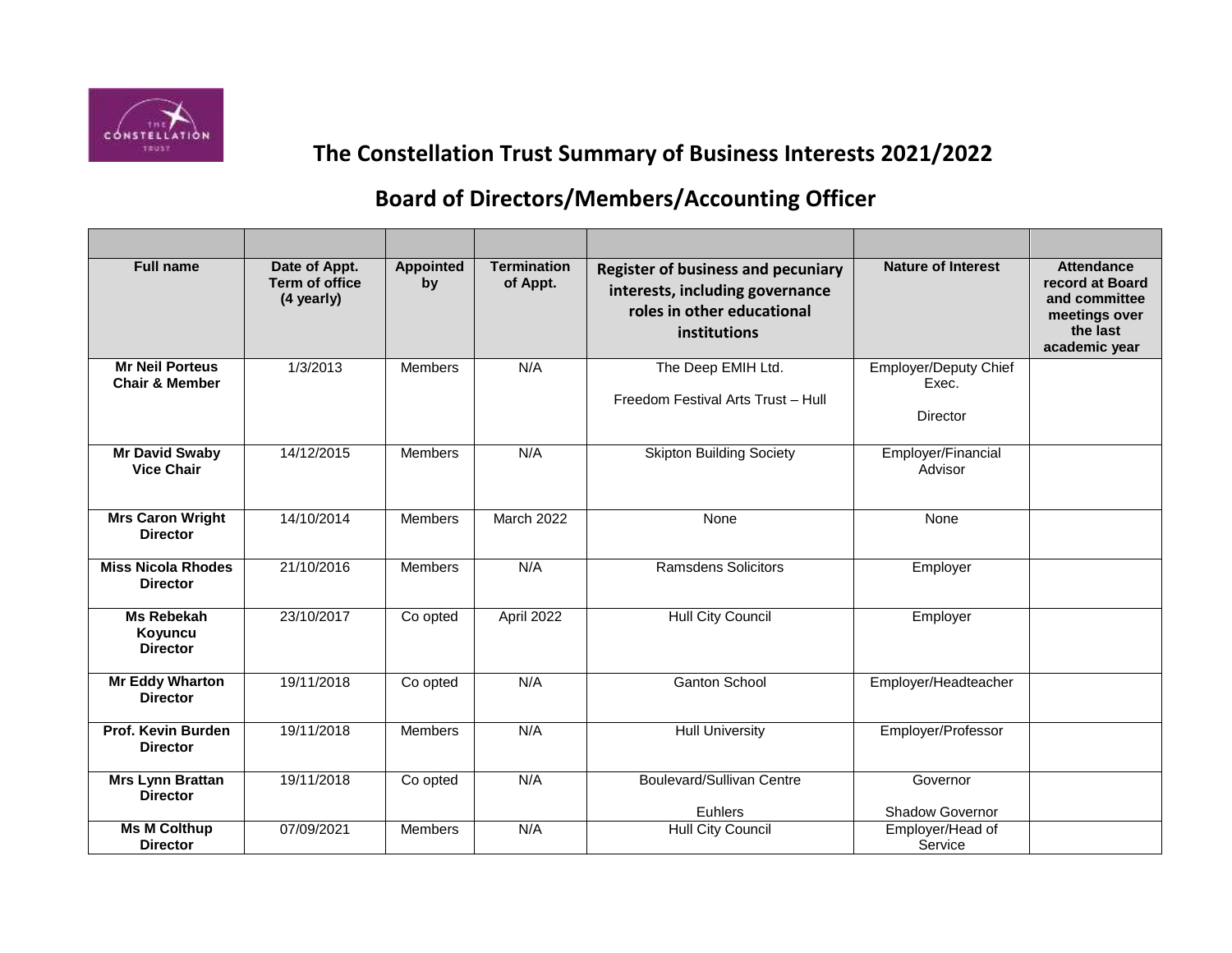

## **The Constellation Trust Summary of Business Interests 2021/2022**

## **Board of Directors/Members/Accounting Officer**

| <b>Full name</b>                                    | Date of Appt.<br><b>Term of office</b><br>(4 yearly) | <b>Appointed</b><br>by | <b>Termination</b><br>of Appt. | <b>Register of business and pecuniary</b><br>interests, including governance<br>roles in other educational<br>institutions | <b>Nature of Interest</b>                  | <b>Attendance</b><br>record at Board<br>and committee<br>meetings over<br>the last<br>academic year |
|-----------------------------------------------------|------------------------------------------------------|------------------------|--------------------------------|----------------------------------------------------------------------------------------------------------------------------|--------------------------------------------|-----------------------------------------------------------------------------------------------------|
| <b>Mr Neil Porteus</b><br><b>Chair &amp; Member</b> | 1/3/2013                                             | <b>Members</b>         | N/A                            | The Deep EMIH Ltd.<br>Freedom Festival Arts Trust - Hull                                                                   | Employer/Deputy Chief<br>Exec.<br>Director |                                                                                                     |
| <b>Mr David Swaby</b><br><b>Vice Chair</b>          | 14/12/2015                                           | <b>Members</b>         | N/A                            | <b>Skipton Building Society</b>                                                                                            | Employer/Financial<br>Advisor              |                                                                                                     |
| <b>Mrs Caron Wright</b><br><b>Director</b>          | 14/10/2014                                           | Members                | <b>March 2022</b>              | None                                                                                                                       | None                                       |                                                                                                     |
| <b>Miss Nicola Rhodes</b><br><b>Director</b>        | 21/10/2016                                           | Members                | N/A                            | <b>Ramsdens Solicitors</b>                                                                                                 | Employer                                   |                                                                                                     |
| Ms Rebekah<br>Koyuncu<br><b>Director</b>            | 23/10/2017                                           | Co opted               | April 2022                     | <b>Hull City Council</b>                                                                                                   | Employer                                   |                                                                                                     |
| <b>Mr Eddy Wharton</b><br><b>Director</b>           | 19/11/2018                                           | Co opted               | N/A                            | <b>Ganton School</b>                                                                                                       | Employer/Headteacher                       |                                                                                                     |
| Prof. Kevin Burden<br><b>Director</b>               | 19/11/2018                                           | Members                | N/A                            | <b>Hull University</b>                                                                                                     | Employer/Professor                         |                                                                                                     |
| <b>Mrs Lynn Brattan</b><br><b>Director</b>          | 19/11/2018                                           | Co opted               | N/A                            | <b>Boulevard/Sullivan Centre</b><br>Euhlers                                                                                | Governor<br>Shadow Governor                |                                                                                                     |
| <b>Ms M Colthup</b><br><b>Director</b>              | 07/09/2021                                           | Members                | N/A                            | <b>Hull City Council</b>                                                                                                   | Employer/Head of<br>Service                |                                                                                                     |